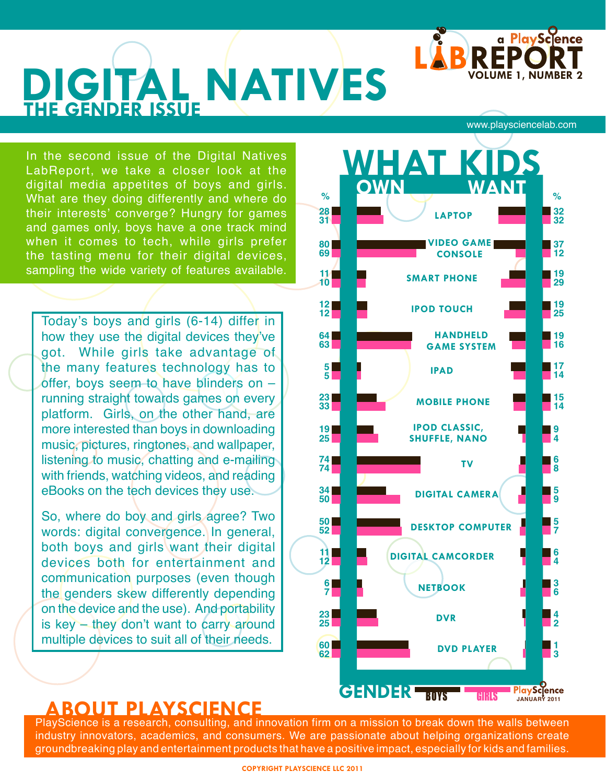

# **DIGITAL NATIVES THE GENDER ISSUE**

In the second issue of the Digital Natives LabReport, we take a closer look at the digital media appetites of boys and girls. What are they doing differently and where do their interests' converge? Hungry for games and games only, boys have a one track mind when it comes to tech, while girls prefer the tasting menu for their digital devices, sampling the wide variety of features available.

Today's boys and girls (6-14) differ in how they use the digital devices they've got. While girls take advantage of the many features technology has to offer, boys seem to have blinders on – running straight towards games on every platform. Girls, on the other hand, are more interested than boys in downloading music, pictures, ringtones, and wallpaper, listening to music, chatting and e-mailing with friends, watching videos, and reading eBooks on the tech devices they use.

So, where do boy and girls agree? Two words: digital convergence. In general, both boys and girls want their digital devices both for entertainment and communication purposes (even though the genders skew differently depending on the device and the use). And portability is key – they don't want to carry around multiple devices to suit all of their needs.

[www.playsciencelab.com](http://www.playsciencelab.com)



### **ABOUT PLAYSCIENCE**

PlayScience is a research, consulting, and innovation firm on a mission to break down the walls between industry innovators, academics, and consumers. We are passionate about helping organizations create groundbreaking play and entertainment products that have a positive impact, especially for kids and families.